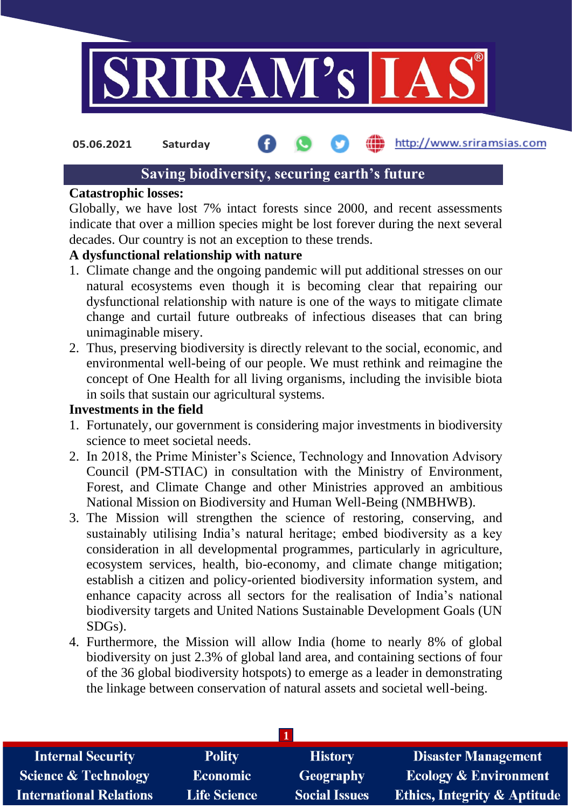

http://www.sriramsias.com **05.06.2021 Saturday**

# **Saving biodiversity, securing earth's future**

#### **Catastrophic losses:**

Globally, we have lost 7% intact forests since 2000, and recent assessments indicate that over a million species might be lost forever during the next several decades. Our country is not an exception to these trends.

#### **A dysfunctional relationship with nature**

- 1. Climate change and the ongoing pandemic will put additional stresses on our natural ecosystems even though it is becoming clear that repairing our dysfunctional relationship with nature is one of the ways to mitigate climate change and curtail future outbreaks of infectious diseases that can bring unimaginable misery.
- 2. Thus, preserving biodiversity is directly relevant to the social, economic, and environmental well-being of our people. We must rethink and reimagine the concept of One Health for all living organisms, including the invisible biota in soils that sustain our agricultural systems.

### **Investments in the field**

- 1. Fortunately, our government is considering major investments in biodiversity science to meet societal needs.
- 2. In 2018, the Prime Minister's Science, Technology and Innovation Advisory Council (PM-STIAC) in consultation with the Ministry of Environment, Forest, and Climate Change and other Ministries approved an ambitious National Mission on Biodiversity and Human Well-Being (NMBHWB).
- 3. The Mission will strengthen the science of restoring, conserving, and sustainably utilising India's natural heritage; embed biodiversity as a key consideration in all developmental programmes, particularly in agriculture, ecosystem services, health, bio-economy, and climate change mitigation; establish a citizen and policy-oriented biodiversity information system, and enhance capacity across all sectors for the realisation of India's national biodiversity targets and United Nations Sustainable Development Goals (UN SDGs).
- 4. Furthermore, the Mission will allow India (home to nearly 8% of global biodiversity on just 2.3% of global land area, and containing sections of four of the 36 global biodiversity hotspots) to emerge as a leader in demonstrating the linkage between conservation of natural assets and societal well-being.

| <b>Internal Security</b>        | <b>Polity</b>       | <b>History</b>       | <b>Disaster Management</b>              |
|---------------------------------|---------------------|----------------------|-----------------------------------------|
| <b>Science &amp; Technology</b> | <b>Economic</b>     | <b>Geography</b>     | <b>Ecology &amp; Environment</b>        |
| <b>International Relations</b>  | <b>Life Science</b> | <b>Social Issues</b> | <b>Ethics, Integrity &amp; Aptitude</b> |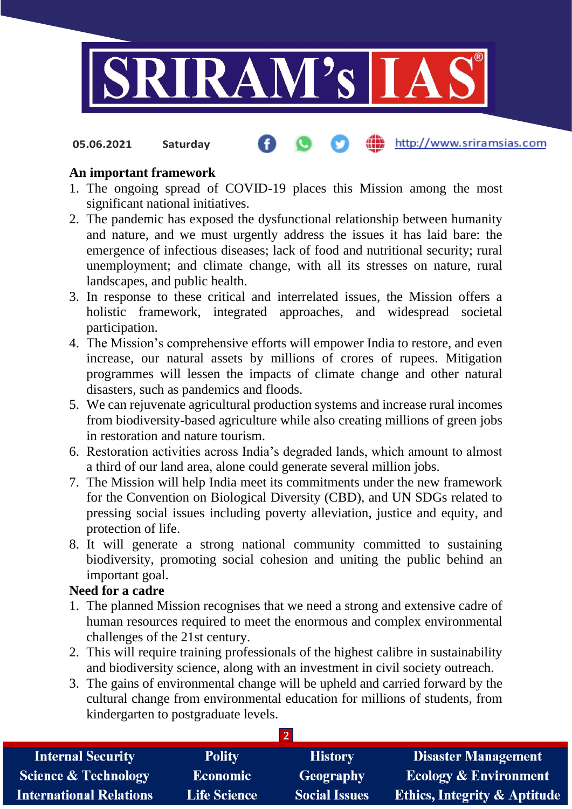

#### http://www.sriramsias.com **05.06.2021 Saturday**

### **An important framework**

- 1. The ongoing spread of COVID-19 places this Mission among the most significant national initiatives.
- 2. The pandemic has exposed the dysfunctional relationship between humanity and nature, and we must urgently address the issues it has laid bare: the emergence of infectious diseases; lack of food and nutritional security; rural unemployment; and climate change, with all its stresses on nature, rural landscapes, and public health.
- 3. In response to these critical and interrelated issues, the Mission offers a holistic framework, integrated approaches, and widespread societal participation.
- 4. The Mission's comprehensive efforts will empower India to restore, and even increase, our natural assets by millions of crores of rupees. Mitigation programmes will lessen the impacts of climate change and other natural disasters, such as pandemics and floods.
- 5. We can rejuvenate agricultural production systems and increase rural incomes from biodiversity-based agriculture while also creating millions of green jobs in restoration and nature tourism.
- 6. Restoration activities across India's degraded lands, which amount to almost a third of our land area, alone could generate several million jobs.
- 7. The Mission will help India meet its commitments under the new framework for the Convention on Biological Diversity (CBD), and UN SDGs related to pressing social issues including poverty alleviation, justice and equity, and protection of life.
- 8. It will generate a strong national community committed to sustaining biodiversity, promoting social cohesion and uniting the public behind an important goal.

### **Need for a cadre**

- 1. The planned Mission recognises that we need a strong and extensive cadre of human resources required to meet the enormous and complex environmental challenges of the 21st century.
- 2. This will require training professionals of the highest calibre in sustainability and biodiversity science, along with an investment in civil society outreach.
- 3. The gains of environmental change will be upheld and carried forward by the cultural change from environmental education for millions of students, from kindergarten to postgraduate levels.

| <b>Internal Security</b>        | <b>Polity</b>       | <b>History</b>       | <b>Disaster Management</b>              |  |  |  |
|---------------------------------|---------------------|----------------------|-----------------------------------------|--|--|--|
| <b>Science &amp; Technology</b> | <b>Economic</b>     | <b>Geography</b>     | <b>Ecology &amp; Environment</b>        |  |  |  |
| <b>International Relations</b>  | <b>Life Science</b> | <b>Social Issues</b> | <b>Ethics, Integrity &amp; Aptitude</b> |  |  |  |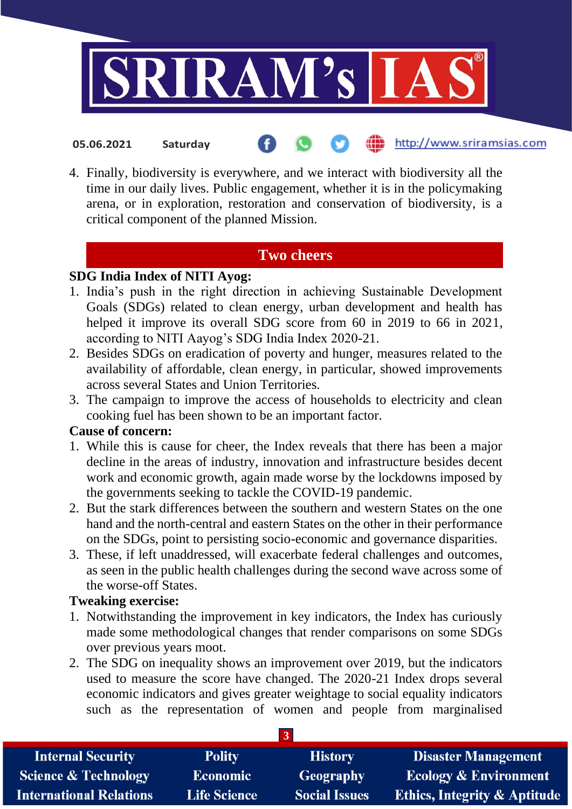

http://www.sriramsias.com

4. Finally, biodiversity is everywhere, and we interact with biodiversity all the time in our daily lives. Public engagement, whether it is in the policymaking arena, or in exploration, restoration and conservation of biodiversity, is a critical component of the planned Mission.

# **Two cheers**

# **SDG India Index of NITI Ayog:**

**05.06.2021 Saturday**

- 1. India's push in the right direction in achieving Sustainable Development Goals (SDGs) related to clean energy, urban development and health has helped it improve its overall SDG score from 60 in 2019 to 66 in 2021, according to NITI Aayog's SDG India Index 2020-21.
- 2. Besides SDGs on eradication of poverty and hunger, measures related to the availability of affordable, clean energy, in particular, showed improvements across several States and Union Territories.
- 3. The campaign to improve the access of households to electricity and clean cooking fuel has been shown to be an important factor.

### **Cause of concern:**

- 1. While this is cause for cheer, the Index reveals that there has been a major decline in the areas of industry, innovation and infrastructure besides decent work and economic growth, again made worse by the lockdowns imposed by the governments seeking to tackle the COVID-19 pandemic.
- 2. But the stark differences between the southern and western States on the one hand and the north-central and eastern States on the other in their performance on the SDGs, point to persisting socio-economic and governance disparities.
- 3. These, if left unaddressed, will exacerbate federal challenges and outcomes, as seen in the public health challenges during the second wave across some of the worse-off States.

## **Tweaking exercise:**

- 1. Notwithstanding the improvement in key indicators, the Index has curiously made some methodological changes that render comparisons on some SDGs over previous years moot.
- 2. The SDG on inequality shows an improvement over 2019, but the indicators used to measure the score have changed. The 2020-21 Index drops several economic indicators and gives greater weightage to social equality indicators such as the representation of women and people from marginalised

| <b>Internal Security</b>        | <b>Polity</b>       | <b>History</b>       | <b>Disaster Management</b>              |  |  |
|---------------------------------|---------------------|----------------------|-----------------------------------------|--|--|
| <b>Science &amp; Technology</b> | <b>Economic</b>     | Geography            | <b>Ecology &amp; Environment</b>        |  |  |
| <b>International Relations</b>  | <b>Life Science</b> | <b>Social Issues</b> | <b>Ethics, Integrity &amp; Aptitude</b> |  |  |